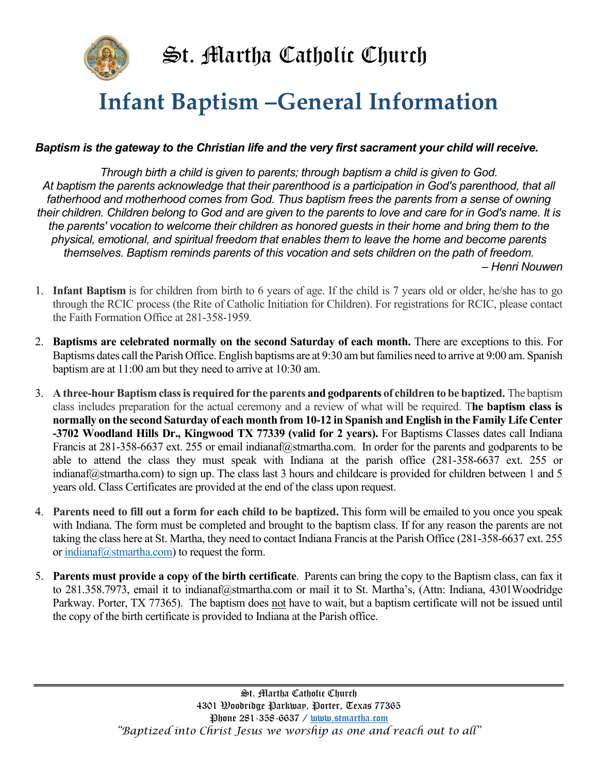

## Infant Baptism –General Information

## Baptism is the gateway to the Christian life and the very first sacrament your child will receive.

Through birth a child is given to parents; through baptism a child is given to God. At baptism the parents acknowledge that their parenthood is a participation in God's parenthood, that all fatherhood and motherhood comes from God. Thus baptism frees the parents from a sense of owning their children. Children belong to God and are given to the parents to love and care for in God's name. It is the parents' vocation to welcome their children as honored guests in their home and bring them to the physical, emotional, and spiritual freedom that enables them to leave the home and become parents themselves. Baptism reminds parents of this vocation and sets children on the path of freedom. – Henri Nouwen

1. Infant Baptism is for children from birth to 6 years of age. If the child is 7 years old or older, he/she has to go through the RCIC process (the Rite of Catholic Initiation for Children). For registrations for RCIC, please contact the Faith Formation Office at 281-358-1959.

- 2. Baptisms are celebrated normally on the second Saturday of each month. There are exceptions to this. For Baptisms dates call the Parish Office. English baptisms are at 9:30 am but families need to arrive at 9:00 am. Spanish baptism are at 11:00 am but they need to arrive at 10:30 am.
- 3. A three-hour Baptism class is required for the parents and godparents of children to be baptized. The baptism class includes preparation for the actual ceremony and a review of what will be required. The baptism class is normally on the second Saturday of each month from 10-12 in Spanish and English in the Family Life Center -3702 Woodland Hills Dr., Kingwood TX 77339 (valid for 2 years). For Baptisms Classes dates call Indiana Francis at 281-358-6637 ext. 255 or email indianaf@stmartha.com. In order for the parents and godparents to be able to attend the class they must speak with Indiana at the parish office (281-358-6637 ext. 255 or indianaf $@$ stmartha.com) to sign up. The class last 3 hours and childcare is provided for children between 1 and 5 years old. Class Certificates are provided at the end of the class upon request.
- 4. Parents need to fill out a form for each child to be baptized. This form will be emailed to you once you speak with Indiana. The form must be completed and brought to the baptism class. If for any reason the parents are not taking the class here at St. Martha, they need to contact Indiana Francis at the Parish Office (281-358-6637 ext. 255 or indianaf@stmartha.com) to request the form.
- 5. Parents must provide a copy of the birth certificate. Parents can bring the copy to the Baptism class, can fax it to 281.358.7973, email it to indianaf@stmartha.com or mail it to St. Martha's, (Attn: Indiana, 4301Woodridge Parkway. Porter, TX 77365). The baptism does not have to wait, but a baptism certificate will not be issued until the copy of the birth certificate is provided to Indiana at the Parish office.